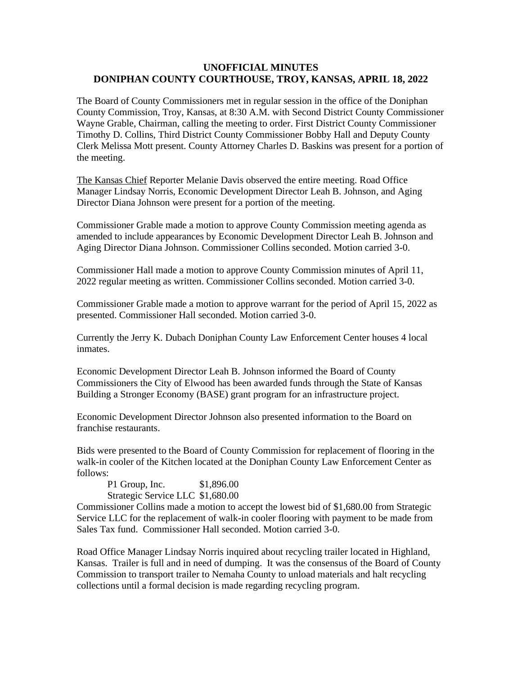## **UNOFFICIAL MINUTES DONIPHAN COUNTY COURTHOUSE, TROY, KANSAS, APRIL 18, 2022**

The Board of County Commissioners met in regular session in the office of the Doniphan County Commission, Troy, Kansas, at 8:30 A.M. with Second District County Commissioner Wayne Grable, Chairman, calling the meeting to order. First District County Commissioner Timothy D. Collins, Third District County Commissioner Bobby Hall and Deputy County Clerk Melissa Mott present. County Attorney Charles D. Baskins was present for a portion of the meeting.

The Kansas Chief Reporter Melanie Davis observed the entire meeting. Road Office Manager Lindsay Norris, Economic Development Director Leah B. Johnson, and Aging Director Diana Johnson were present for a portion of the meeting.

Commissioner Grable made a motion to approve County Commission meeting agenda as amended to include appearances by Economic Development Director Leah B. Johnson and Aging Director Diana Johnson. Commissioner Collins seconded. Motion carried 3-0.

Commissioner Hall made a motion to approve County Commission minutes of April 11, 2022 regular meeting as written. Commissioner Collins seconded. Motion carried 3-0.

Commissioner Grable made a motion to approve warrant for the period of April 15, 2022 as presented. Commissioner Hall seconded. Motion carried 3-0.

Currently the Jerry K. Dubach Doniphan County Law Enforcement Center houses 4 local inmates.

Economic Development Director Leah B. Johnson informed the Board of County Commissioners the City of Elwood has been awarded funds through the State of Kansas Building a Stronger Economy (BASE) grant program for an infrastructure project.

Economic Development Director Johnson also presented information to the Board on franchise restaurants.

Bids were presented to the Board of County Commission for replacement of flooring in the walk-in cooler of the Kitchen located at the Doniphan County Law Enforcement Center as follows:

| P1 Group, Inc.                   | \$1,896.00 |
|----------------------------------|------------|
| Strategic Service LLC \$1,680.00 |            |

Commissioner Collins made a motion to accept the lowest bid of \$1,680.00 from Strategic Service LLC for the replacement of walk-in cooler flooring with payment to be made from Sales Tax fund. Commissioner Hall seconded. Motion carried 3-0.

Road Office Manager Lindsay Norris inquired about recycling trailer located in Highland, Kansas. Trailer is full and in need of dumping. It was the consensus of the Board of County Commission to transport trailer to Nemaha County to unload materials and halt recycling collections until a formal decision is made regarding recycling program.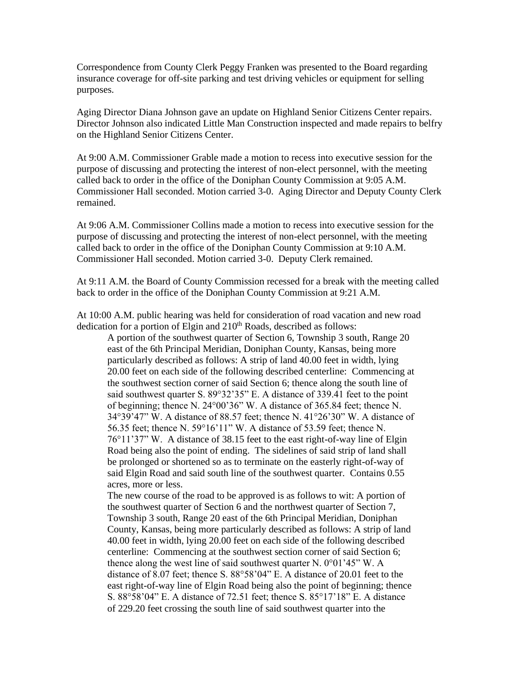Correspondence from County Clerk Peggy Franken was presented to the Board regarding insurance coverage for off-site parking and test driving vehicles or equipment for selling purposes.

Aging Director Diana Johnson gave an update on Highland Senior Citizens Center repairs. Director Johnson also indicated Little Man Construction inspected and made repairs to belfry on the Highland Senior Citizens Center.

At 9:00 A.M. Commissioner Grable made a motion to recess into executive session for the purpose of discussing and protecting the interest of non-elect personnel, with the meeting called back to order in the office of the Doniphan County Commission at 9:05 A.M. Commissioner Hall seconded. Motion carried 3-0. Aging Director and Deputy County Clerk remained.

At 9:06 A.M. Commissioner Collins made a motion to recess into executive session for the purpose of discussing and protecting the interest of non-elect personnel, with the meeting called back to order in the office of the Doniphan County Commission at 9:10 A.M. Commissioner Hall seconded. Motion carried 3-0. Deputy Clerk remained.

At 9:11 A.M. the Board of County Commission recessed for a break with the meeting called back to order in the office of the Doniphan County Commission at 9:21 A.M.

At 10:00 A.M. public hearing was held for consideration of road vacation and new road dedication for a portion of Elgin and  $210<sup>th</sup>$  Roads, described as follows:

A portion of the southwest quarter of Section 6, Township 3 south, Range 20 east of the 6th Principal Meridian, Doniphan County, Kansas, being more particularly described as follows: A strip of land 40.00 feet in width, lying 20.00 feet on each side of the following described centerline: Commencing at the southwest section corner of said Section 6; thence along the south line of said southwest quarter S. 89°32'35" E. A distance of 339.41 feet to the point of beginning; thence N. 24°00'36" W. A distance of 365.84 feet; thence N. 34°39'47" W. A distance of 88.57 feet; thence N. 41°26'30" W. A distance of 56.35 feet; thence N. 59°16'11" W. A distance of 53.59 feet; thence N. 76°11'37" W. A distance of 38.15 feet to the east right-of-way line of Elgin Road being also the point of ending. The sidelines of said strip of land shall be prolonged or shortened so as to terminate on the easterly right-of-way of said Elgin Road and said south line of the southwest quarter. Contains 0.55 acres, more or less.

The new course of the road to be approved is as follows to wit: A portion of the southwest quarter of Section 6 and the northwest quarter of Section 7, Township 3 south, Range 20 east of the 6th Principal Meridian, Doniphan County, Kansas, being more particularly described as follows: A strip of land 40.00 feet in width, lying 20.00 feet on each side of the following described centerline: Commencing at the southwest section corner of said Section 6; thence along the west line of said southwest quarter N.  $0^{\circ}01'45''$  W. A distance of 8.07 feet; thence S. 88°58'04" E. A distance of 20.01 feet to the east right-of-way line of Elgin Road being also the point of beginning; thence S. 88°58'04" E. A distance of 72.51 feet; thence S. 85°17'18" E. A distance of 229.20 feet crossing the south line of said southwest quarter into the